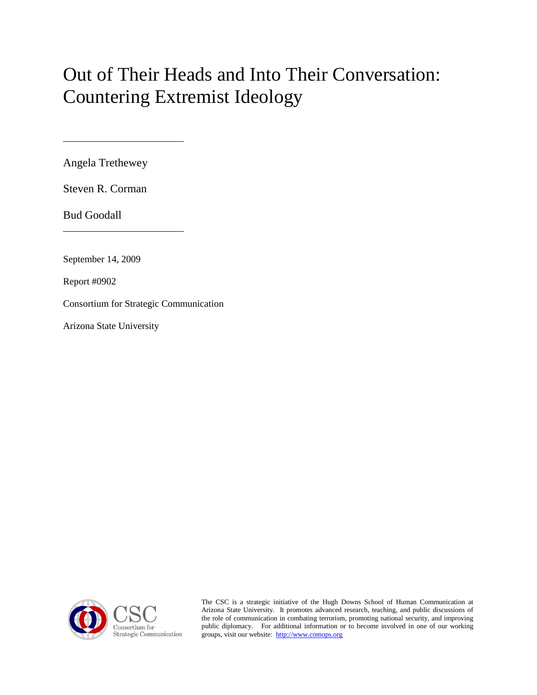# Out of Their Heads and Into Their Conversation: Countering Extremist Ideology

Angela Trethewey

Steven R. Corman

Bud Goodall

September 14, 2009

Report #0902

Consortium for Strategic Communication

Arizona State University



The CSC is a strategic initiative of the Hugh Downs School of Human Communication at Arizona State University. It promotes advanced research, teaching, and public discussions of the role of communication in combating terrorism, promoting national security, and improving public diplomacy. For additional information or to become involved in one of our working groups, visit our website: http://www.comops.org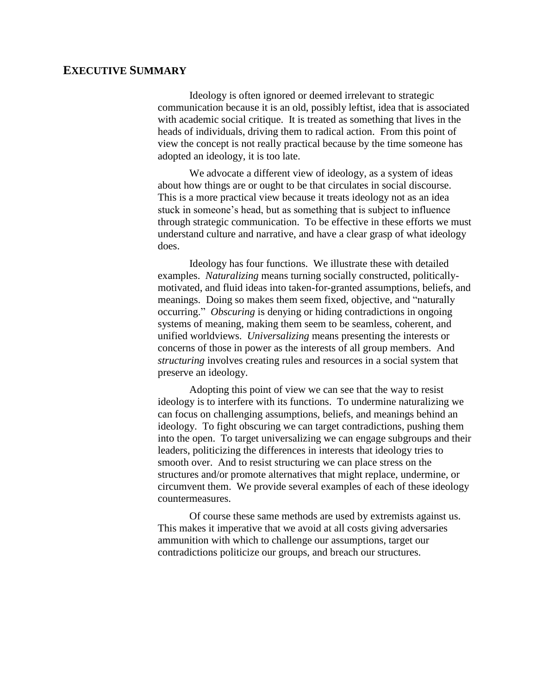## **EXECUTIVE SUMMARY**

Ideology is often ignored or deemed irrelevant to strategic communication because it is an old, possibly leftist, idea that is associated with academic social critique. It is treated as something that lives in the heads of individuals, driving them to radical action. From this point of view the concept is not really practical because by the time someone has adopted an ideology, it is too late.

We advocate a different view of ideology, as a system of ideas about how things are or ought to be that circulates in social discourse. This is a more practical view because it treats ideology not as an idea stuck in someone"s head, but as something that is subject to influence through strategic communication. To be effective in these efforts we must understand culture and narrative, and have a clear grasp of what ideology does.

Ideology has four functions. We illustrate these with detailed examples. *Naturalizing* means turning socially constructed, politicallymotivated, and fluid ideas into taken-for-granted assumptions, beliefs, and meanings. Doing so makes them seem fixed, objective, and "naturally occurring." *Obscuring* is denying or hiding contradictions in ongoing systems of meaning, making them seem to be seamless, coherent, and unified worldviews. *Universalizing* means presenting the interests or concerns of those in power as the interests of all group members. And *structuring* involves creating rules and resources in a social system that preserve an ideology.

Adopting this point of view we can see that the way to resist ideology is to interfere with its functions. To undermine naturalizing we can focus on challenging assumptions, beliefs, and meanings behind an ideology. To fight obscuring we can target contradictions, pushing them into the open. To target universalizing we can engage subgroups and their leaders, politicizing the differences in interests that ideology tries to smooth over. And to resist structuring we can place stress on the structures and/or promote alternatives that might replace, undermine, or circumvent them. We provide several examples of each of these ideology countermeasures.

Of course these same methods are used by extremists against us. This makes it imperative that we avoid at all costs giving adversaries ammunition with which to challenge our assumptions, target our contradictions politicize our groups, and breach our structures.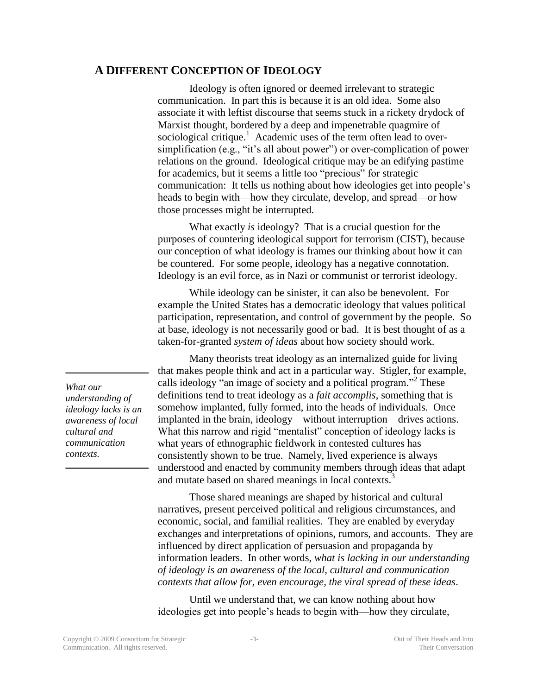## **A DIFFERENT CONCEPTION OF IDEOLOGY**

Ideology is often ignored or deemed irrelevant to strategic communication. In part this is because it is an old idea. Some also associate it with leftist discourse that seems stuck in a rickety drydock of Marxist thought, bordered by a deep and impenetrable quagmire of sociological critique.<sup>1</sup> Academic uses of the term often lead to oversimplification (e.g., "it's all about power") or over-complication of power relations on the ground. Ideological critique may be an edifying pastime for academics, but it seems a little too "precious" for strategic communication: It tells us nothing about how ideologies get into people"s heads to begin with—how they circulate, develop, and spread—or how those processes might be interrupted.

What exactly *is* ideology? That is a crucial question for the purposes of countering ideological support for terrorism (CIST), because our conception of what ideology is frames our thinking about how it can be countered. For some people, ideology has a negative connotation. Ideology is an evil force, as in Nazi or communist or terrorist ideology.

While ideology can be sinister, it can also be benevolent. For example the United States has a democratic ideology that values political participation, representation, and control of government by the people. So at base, ideology is not necessarily good or bad. It is best thought of as a taken-for-granted *system of ideas* about how society should work.

Many theorists treat ideology as an internalized guide for living that makes people think and act in a particular way. Stigler, for example, calls ideology "an image of society and a political program."<sup>2</sup> These definitions tend to treat ideology as a *fait accomplis*, something that is somehow implanted, fully formed, into the heads of individuals. Once implanted in the brain, ideology—without interruption—drives actions. What this narrow and rigid "mentalist" conception of ideology lacks is what years of ethnographic fieldwork in contested cultures has consistently shown to be true. Namely, lived experience is always understood and enacted by community members through ideas that adapt and mutate based on shared meanings in local contexts.<sup>3</sup>

Those shared meanings are shaped by historical and cultural narratives, present perceived political and religious circumstances, and economic, social, and familial realities. They are enabled by everyday exchanges and interpretations of opinions, rumors, and accounts. They are influenced by direct application of persuasion and propaganda by information leaders. In other words, *what is lacking in our understanding of ideology is an awareness of the local, cultural and communication contexts that allow for, even encourage, the viral spread of these ideas*.

Until we understand that, we can know nothing about how ideologies get into people"s heads to begin with—how they circulate,

*What our understanding of ideology lacks is an awareness of local cultural and communication contexts.*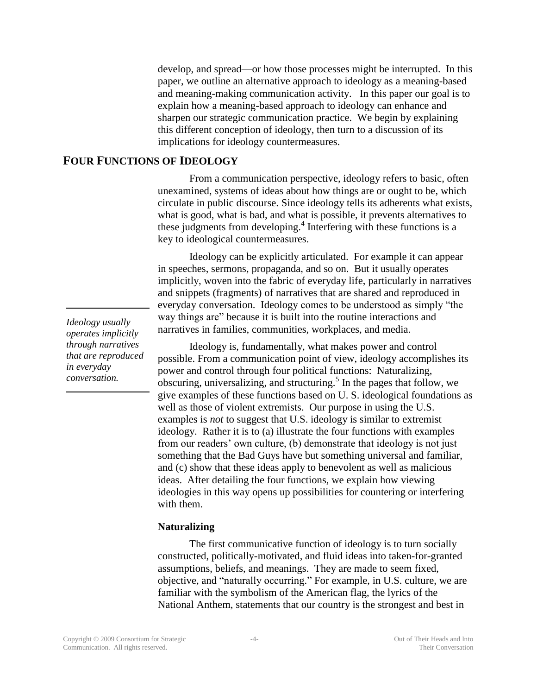develop, and spread—or how those processes might be interrupted. In this paper, we outline an alternative approach to ideology as a meaning-based and meaning-making communication activity. In this paper our goal is to explain how a meaning-based approach to ideology can enhance and sharpen our strategic communication practice. We begin by explaining this different conception of ideology, then turn to a discussion of its implications for ideology countermeasures.

# **FOUR FUNCTIONS OF IDEOLOGY**

From a communication perspective, ideology refers to basic, often unexamined, systems of ideas about how things are or ought to be, which circulate in public discourse. Since ideology tells its adherents what exists, what is good, what is bad, and what is possible, it prevents alternatives to these judgments from developing.<sup>4</sup> Interfering with these functions is a key to ideological countermeasures.

Ideology can be explicitly articulated. For example it can appear in speeches, sermons, propaganda, and so on. But it usually operates implicitly, woven into the fabric of everyday life, particularly in narratives and snippets (fragments) of narratives that are shared and reproduced in everyday conversation. Ideology comes to be understood as simply "the way things are" because it is built into the routine interactions and narratives in families, communities, workplaces, and media.

Ideology is, fundamentally, what makes power and control possible. From a communication point of view, ideology accomplishes its power and control through four political functions: Naturalizing, obscuring, universalizing, and structuring.<sup>5</sup> In the pages that follow, we give examples of these functions based on U. S. ideological foundations as well as those of violent extremists. Our purpose in using the U.S. examples is *not* to suggest that U.S. ideology is similar to extremist ideology. Rather it is to (a) illustrate the four functions with examples from our readers" own culture, (b) demonstrate that ideology is not just something that the Bad Guys have but something universal and familiar, and (c) show that these ideas apply to benevolent as well as malicious ideas. After detailing the four functions, we explain how viewing ideologies in this way opens up possibilities for countering or interfering with them.

#### **Naturalizing**

The first communicative function of ideology is to turn socially constructed, politically-motivated, and fluid ideas into taken-for-granted assumptions, beliefs, and meanings. They are made to seem fixed, objective, and "naturally occurring." For example, in U.S. culture, we are familiar with the symbolism of the American flag, the lyrics of the National Anthem, statements that our country is the strongest and best in

*Ideology usually operates implicitly through narratives that are reproduced in everyday conversation.*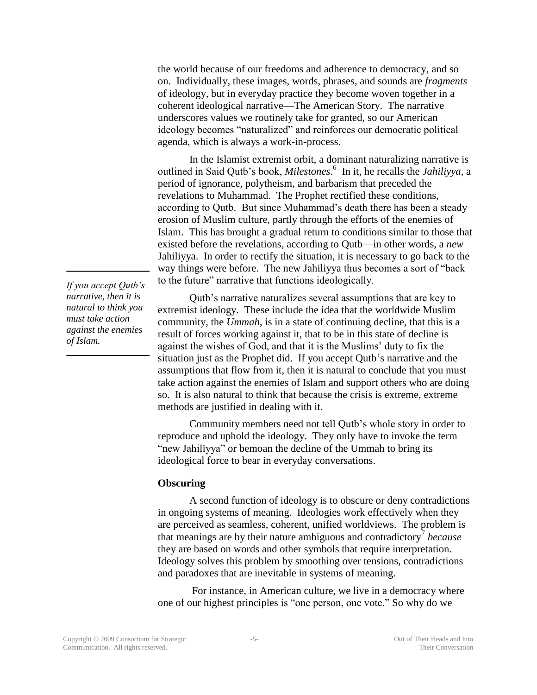the world because of our freedoms and adherence to democracy, and so on. Individually, these images, words, phrases, and sounds are *fragments*  of ideology, but in everyday practice they become woven together in a coherent ideological narrative—The American Story. The narrative underscores values we routinely take for granted, so our American ideology becomes "naturalized" and reinforces our democratic political agenda, which is always a work-in-process.

In the Islamist extremist orbit, a dominant naturalizing narrative is outlined in Said Qutb"s book, *Milestones*. 6 In it, he recalls the *Jahiliyya,* a period of ignorance, polytheism, and barbarism that preceded the revelations to Muhammad. The Prophet rectified these conditions, according to Qutb. But since Muhammad"s death there has been a steady erosion of Muslim culture, partly through the efforts of the enemies of Islam. This has brought a gradual return to conditions similar to those that existed before the revelations, according to Qutb—in other words, a *new* Jahiliyya. In order to rectify the situation, it is necessary to go back to the way things were before. The new Jahiliyya thus becomes a sort of "back to the future" narrative that functions ideologically.

*If you accept Qutb's narrative, then it is natural to think you must take action against the enemies of Islam.*

Qutb"s narrative naturalizes several assumptions that are key to extremist ideology. These include the idea that the worldwide Muslim community, the *Ummah*, is in a state of continuing decline, that this is a result of forces working against it, that to be in this state of decline is against the wishes of God, and that it is the Muslims" duty to fix the situation just as the Prophet did. If you accept Qutb's narrative and the assumptions that flow from it, then it is natural to conclude that you must take action against the enemies of Islam and support others who are doing so. It is also natural to think that because the crisis is extreme, extreme methods are justified in dealing with it.

Community members need not tell Qutb"s whole story in order to reproduce and uphold the ideology. They only have to invoke the term "new Jahiliyya" or bemoan the decline of the Ummah to bring its ideological force to bear in everyday conversations.

## **Obscuring**

A second function of ideology is to obscure or deny contradictions in ongoing systems of meaning. Ideologies work effectively when they are perceived as seamless, coherent, unified worldviews. The problem is that meanings are by their nature ambiguous and contradictory<sup>7</sup> because they are based on words and other symbols that require interpretation. Ideology solves this problem by smoothing over tensions, contradictions and paradoxes that are inevitable in systems of meaning.

For instance, in American culture, we live in a democracy where one of our highest principles is "one person, one vote." So why do we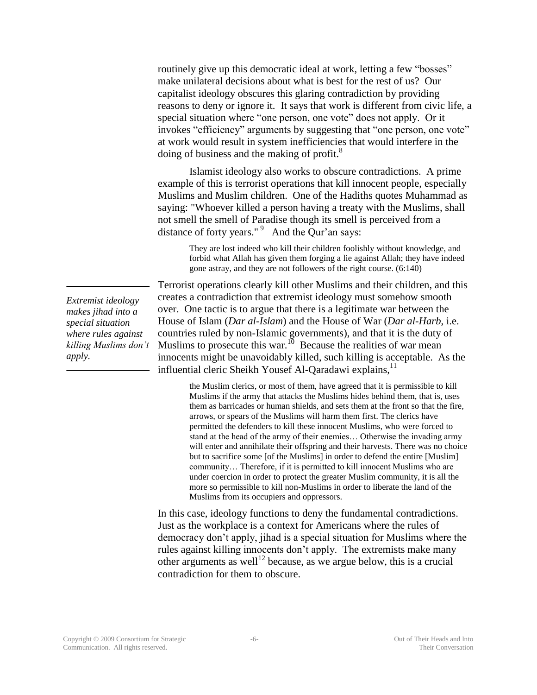routinely give up this democratic ideal at work, letting a few "bosses" make unilateral decisions about what is best for the rest of us? Our capitalist ideology obscures this glaring contradiction by providing reasons to deny or ignore it. It says that work is different from civic life, a special situation where "one person, one vote" does not apply. Or it invokes "efficiency" arguments by suggesting that "one person, one vote" at work would result in system inefficiencies that would interfere in the doing of business and the making of profit.<sup>8</sup>

Islamist ideology also works to obscure contradictions. A prime example of this is terrorist operations that kill innocent people, especially Muslims and Muslim children. One of the Hadiths quotes Muhammad as saying: "Whoever killed a person having a treaty with the Muslims, shall not smell the smell of Paradise though its smell is perceived from a distance of forty years."  $9$  And the Qur'an says:

They are lost indeed who kill their children foolishly without knowledge, and forbid what Allah has given them forging a lie against Allah; they have indeed gone astray, and they are not followers of the right course. (6:140)

Terrorist operations clearly kill other Muslims and their children, and this creates a contradiction that extremist ideology must somehow smooth over. One tactic is to argue that there is a legitimate war between the House of Islam (*Dar al-Islam*) and the House of War (*Dar al-Harb*, i.e. countries ruled by non-Islamic governments), and that it is the duty of Muslims to prosecute this war.<sup>10</sup> Because the realities of war mean innocents might be unavoidably killed, such killing is acceptable. As the influential cleric Sheikh Yousef Al-Qaradawi explains,<sup>11</sup>

> the Muslim clerics, or most of them, have agreed that it is permissible to kill Muslims if the army that attacks the Muslims hides behind them, that is, uses them as barricades or human shields, and sets them at the front so that the fire, arrows, or spears of the Muslims will harm them first. The clerics have permitted the defenders to kill these innocent Muslims, who were forced to stand at the head of the army of their enemies… Otherwise the invading army will enter and annihilate their offspring and their harvests. There was no choice but to sacrifice some [of the Muslims] in order to defend the entire [Muslim] community… Therefore, if it is permitted to kill innocent Muslims who are under coercion in order to protect the greater Muslim community, it is all the more so permissible to kill non-Muslims in order to liberate the land of the Muslims from its occupiers and oppressors.

In this case, ideology functions to deny the fundamental contradictions. Just as the workplace is a context for Americans where the rules of democracy don"t apply, jihad is a special situation for Muslims where the rules against killing innocents don"t apply. The extremists make many other arguments as well<sup>12</sup> because, as we argue below, this is a crucial contradiction for them to obscure.

*Extremist ideology makes jihad into a special situation where rules against killing Muslims don't apply.*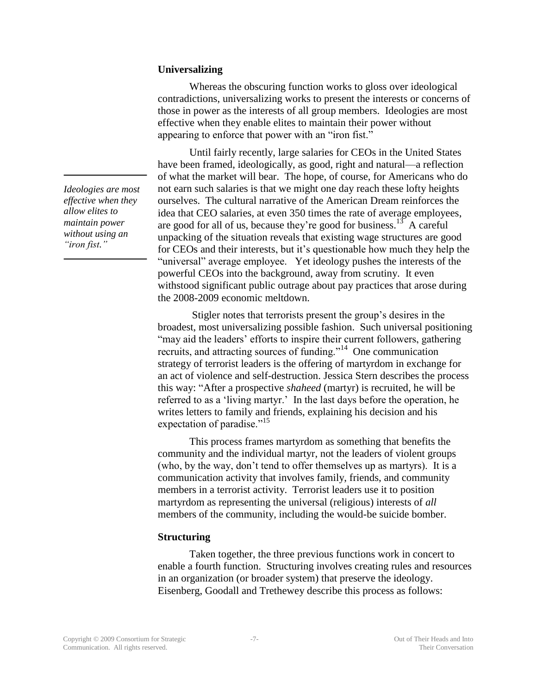## **Universalizing**

Whereas the obscuring function works to gloss over ideological contradictions, universalizing works to present the interests or concerns of those in power as the interests of all group members. Ideologies are most effective when they enable elites to maintain their power without appearing to enforce that power with an "iron fist."

Until fairly recently, large salaries for CEOs in the United States have been framed, ideologically, as good, right and natural—a reflection of what the market will bear. The hope, of course, for Americans who do not earn such salaries is that we might one day reach these lofty heights ourselves. The cultural narrative of the American Dream reinforces the idea that CEO salaries, at even 350 times the rate of average employees, are good for all of us, because they're good for business.<sup>13</sup> A careful unpacking of the situation reveals that existing wage structures are good for CEOs and their interests, but it's questionable how much they help the "universal" average employee. Yet ideology pushes the interests of the powerful CEOs into the background, away from scrutiny. It even withstood significant public outrage about pay practices that arose during the 2008-2009 economic meltdown.

Stigler notes that terrorists present the group"s desires in the broadest, most universalizing possible fashion. Such universal positioning "may aid the leaders' efforts to inspire their current followers, gathering recruits, and attracting sources of funding."<sup>14</sup> One communication strategy of terrorist leaders is the offering of martyrdom in exchange for an act of violence and self-destruction. Jessica Stern describes the process this way: "After a prospective *shaheed* (martyr) is recruited, he will be referred to as a "living martyr." In the last days before the operation, he writes letters to family and friends, explaining his decision and his expectation of paradise."<sup>15</sup>

This process frames martyrdom as something that benefits the community and the individual martyr, not the leaders of violent groups (who, by the way, don"t tend to offer themselves up as martyrs). It is a communication activity that involves family, friends, and community members in a terrorist activity. Terrorist leaders use it to position martyrdom as representing the universal (religious) interests of *all* members of the community, including the would-be suicide bomber.

## **Structuring**

Taken together, the three previous functions work in concert to enable a fourth function. Structuring involves creating rules and resources in an organization (or broader system) that preserve the ideology. Eisenberg, Goodall and Trethewey describe this process as follows:

*Ideologies are most effective when they allow elites to maintain power without using an "iron fist."*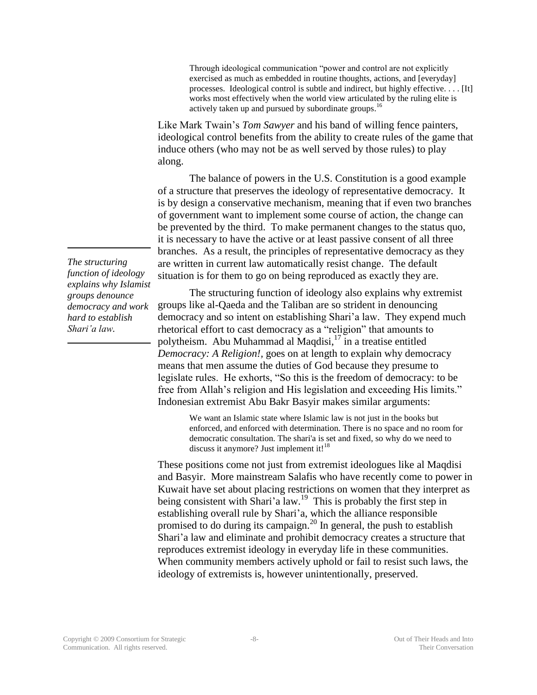Through ideological communication "power and control are not explicitly exercised as much as embedded in routine thoughts, actions, and [everyday] processes. Ideological control is subtle and indirect, but highly effective. . . . [It] works most effectively when the world view articulated by the ruling elite is actively taken up and pursued by subordinate groups.<sup>16</sup>

Like Mark Twain"s *Tom Sawyer* and his band of willing fence painters, ideological control benefits from the ability to create rules of the game that induce others (who may not be as well served by those rules) to play along.

The balance of powers in the U.S. Constitution is a good example of a structure that preserves the ideology of representative democracy. It is by design a conservative mechanism, meaning that if even two branches of government want to implement some course of action, the change can be prevented by the third. To make permanent changes to the status quo, it is necessary to have the active or at least passive consent of all three branches. As a result, the principles of representative democracy as they are written in current law automatically resist change. The default situation is for them to go on being reproduced as exactly they are.

*The structuring function of ideology explains why Islamist groups denounce democracy and work hard to establish Shari'a law.*

The structuring function of ideology also explains why extremist groups like al-Qaeda and the Taliban are so strident in denouncing democracy and so intent on establishing Shari'a law. They expend much rhetorical effort to cast democracy as a "religion" that amounts to polytheism. Abu Muhammad al Maqdisi, $17$  in a treatise entitled *Democracy: A Religion!,* goes on at length to explain why democracy means that men assume the duties of God because they presume to legislate rules. He exhorts, "So this is the freedom of democracy: to be free from Allah's religion and His legislation and exceeding His limits." Indonesian extremist Abu Bakr Basyir makes similar arguments:

> We want an Islamic state where Islamic law is not just in the books but enforced, and enforced with determination. There is no space and no room for democratic consultation. The shari'a is set and fixed, so why do we need to discuss it anymore? Just implement it!<sup>18</sup>

These positions come not just from extremist ideologues like al Maqdisi and Basyir. More mainstream Salafis who have recently come to power in Kuwait have set about placing restrictions on women that they interpret as being consistent with Shari'a law.<sup>19</sup> This is probably the first step in establishing overall rule by Shari'a, which the alliance responsible promised to do during its campaign.<sup>20</sup> In general, the push to establish Shari"a law and eliminate and prohibit democracy creates a structure that reproduces extremist ideology in everyday life in these communities. When community members actively uphold or fail to resist such laws, the ideology of extremists is, however unintentionally, preserved.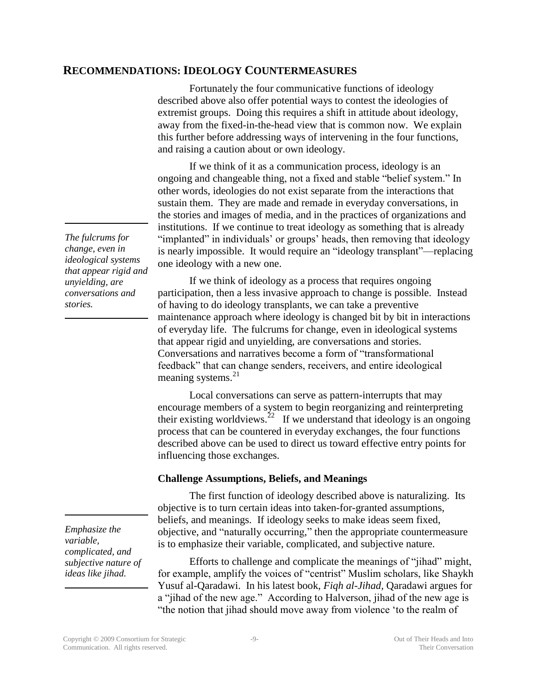## **RECOMMENDATIONS: IDEOLOGY COUNTERMEASURES**

Fortunately the four communicative functions of ideology described above also offer potential ways to contest the ideologies of extremist groups. Doing this requires a shift in attitude about ideology, away from the fixed-in-the-head view that is common now. We explain this further before addressing ways of intervening in the four functions, and raising a caution about or own ideology.

If we think of it as a communication process, ideology is an ongoing and changeable thing, not a fixed and stable "belief system." In other words, ideologies do not exist separate from the interactions that sustain them. They are made and remade in everyday conversations, in the stories and images of media, and in the practices of organizations and institutions. If we continue to treat ideology as something that is already "implanted" in individuals" or groups" heads, then removing that ideology is nearly impossible. It would require an "ideology transplant"—replacing one ideology with a new one.

If we think of ideology as a process that requires ongoing participation, then a less invasive approach to change is possible. Instead of having to do ideology transplants, we can take a preventive maintenance approach where ideology is changed bit by bit in interactions of everyday life. The fulcrums for change, even in ideological systems that appear rigid and unyielding, are conversations and stories. Conversations and narratives become a form of "transformational feedback" that can change senders, receivers, and entire ideological meaning systems. $21$ 

Local conversations can serve as pattern-interrupts that may encourage members of a system to begin reorganizing and reinterpreting their existing worldviews.<sup>22</sup> If we understand that ideology is an ongoing process that can be countered in everyday exchanges, the four functions described above can be used to direct us toward effective entry points for influencing those exchanges.

## **Challenge Assumptions, Beliefs, and Meanings**

The first function of ideology described above is naturalizing. Its objective is to turn certain ideas into taken-for-granted assumptions, beliefs, and meanings. If ideology seeks to make ideas seem fixed, objective, and "naturally occurring," then the appropriate countermeasure is to emphasize their variable, complicated, and subjective nature.

Efforts to challenge and complicate the meanings of "jihad" might, for example, amplify the voices of "centrist" Muslim scholars, like Shaykh Yusuf al-Qaradawi. In his latest book, *Fiqh al-Jihad,* Qaradawi argues for a "jihad of the new age." According to Halverson, jihad of the new age is "the notion that jihad should move away from violence "to the realm of

*The fulcrums for change, even in ideological systems that appear rigid and unyielding, are conversations and stories.*

*Emphasize the variable, complicated, and subjective nature of ideas like jihad.*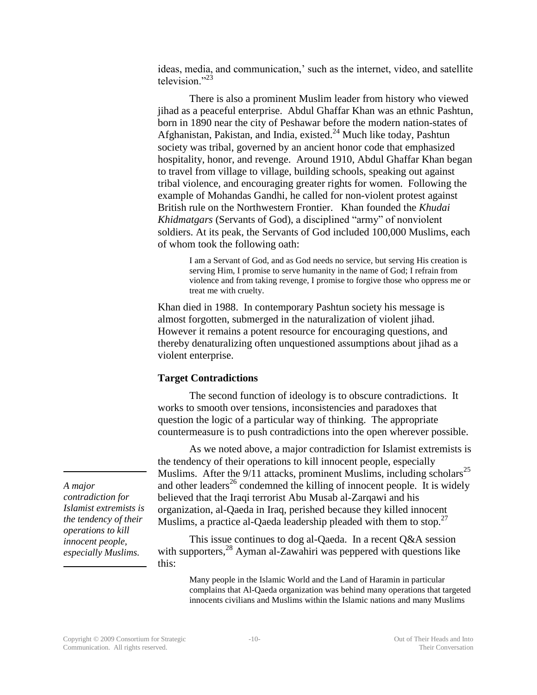ideas, media, and communication,' such as the internet, video, and satellite television $^{323}$ 

There is also a prominent Muslim leader from history who viewed jihad as a peaceful enterprise. Abdul Ghaffar Khan was an ethnic Pashtun, born in 1890 near the city of Peshawar before the modern nation-states of Afghanistan, Pakistan, and India, existed.<sup>24</sup> Much like today, Pashtun society was tribal, governed by an ancient honor code that emphasized hospitality, honor, and revenge. Around 1910, Abdul Ghaffar Khan began to travel from village to village, building schools, speaking out against tribal violence, and encouraging greater rights for women. Following the example of Mohandas Gandhi, he called for non-violent protest against British rule on the Northwestern Frontier. Khan founded the *Khudai Khidmatgars* (Servants of God), a disciplined "army" of nonviolent soldiers. At its peak, the Servants of God included 100,000 Muslims, each of whom took the following oath:

I am a Servant of God, and as God needs no service, but serving His creation is serving Him, I promise to serve humanity in the name of God; I refrain from violence and from taking revenge, I promise to forgive those who oppress me or treat me with cruelty.

Khan died in 1988. In contemporary Pashtun society his message is almost forgotten, submerged in the naturalization of violent jihad. However it remains a potent resource for encouraging questions, and thereby denaturalizing often unquestioned assumptions about jihad as a violent enterprise.

## **Target Contradictions**

The second function of ideology is to obscure contradictions. It works to smooth over tensions, inconsistencies and paradoxes that question the logic of a particular way of thinking. The appropriate countermeasure is to push contradictions into the open wherever possible.

As we noted above, a major contradiction for Islamist extremists is the tendency of their operations to kill innocent people, especially Muslims. After the  $9/11$  attacks, prominent Muslims, including scholars<sup>25</sup> and other leaders<sup>26</sup> condemned the killing of innocent people. It is widely believed that the Iraqi terrorist Abu Musab al-Zarqawi and his organization, al-Qaeda in Iraq, perished because they killed innocent Muslims, a practice al-Qaeda leadership pleaded with them to stop. $27$ 

This issue continues to dog al-Qaeda. In a recent Q&A session with supporters,<sup>28</sup> Ayman al-Zawahiri was peppered with questions like this:

> Many people in the Islamic World and the Land of Haramin in particular complains that Al-Qaeda organization was behind many operations that targeted innocents civilians and Muslims within the Islamic nations and many Muslims

*A major contradiction for Islamist extremists is the tendency of their operations to kill innocent people, especially Muslims.*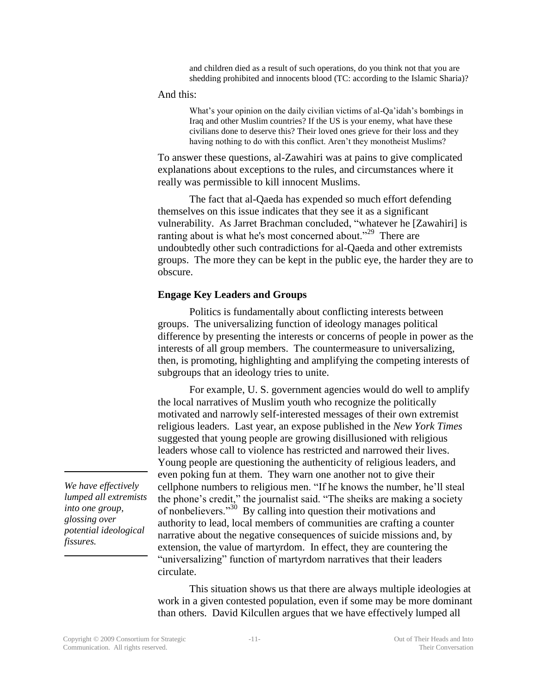and children died as a result of such operations, do you think not that you are shedding prohibited and innocents blood (TC: according to the Islamic Sharia)?

#### And this:

What's your opinion on the daily civilian victims of al-Qa'idah's bombings in Iraq and other Muslim countries? If the US is your enemy, what have these civilians done to deserve this? Their loved ones grieve for their loss and they having nothing to do with this conflict. Aren't they monotheist Muslims?

To answer these questions, al-Zawahiri was at pains to give complicated explanations about exceptions to the rules, and circumstances where it really was permissible to kill innocent Muslims.

The fact that al-Qaeda has expended so much effort defending themselves on this issue indicates that they see it as a significant vulnerability. As Jarret Brachman concluded, "whatever he [Zawahiri] is ranting about is what he's most concerned about."<sup>29</sup> There are undoubtedly other such contradictions for al-Qaeda and other extremists groups. The more they can be kept in the public eye, the harder they are to obscure.

## **Engage Key Leaders and Groups**

Politics is fundamentally about conflicting interests between groups. The universalizing function of ideology manages political difference by presenting the interests or concerns of people in power as the interests of all group members. The countermeasure to universalizing, then, is promoting, highlighting and amplifying the competing interests of subgroups that an ideology tries to unite.

For example, U. S. government agencies would do well to amplify the local narratives of Muslim youth who recognize the politically motivated and narrowly self-interested messages of their own extremist religious leaders. Last year, an expose published in the *New York Times* suggested that young people are growing disillusioned with religious leaders whose call to violence has restricted and narrowed their lives. Young people are questioning the authenticity of religious leaders, and even poking fun at them. They warn one another not to give their cellphone numbers to religious men. "If he knows the number, he"ll steal the phone"s credit," the journalist said. "The sheiks are making a society of nonbelievers."<sup>30</sup> By calling into question their motivations and authority to lead, local members of communities are crafting a counter narrative about the negative consequences of suicide missions and, by extension, the value of martyrdom. In effect, they are countering the "universalizing" function of martyrdom narratives that their leaders circulate.

This situation shows us that there are always multiple ideologies at work in a given contested population, even if some may be more dominant than others. David Kilcullen argues that we have effectively lumped all

*We have effectively lumped all extremists into one group, glossing over potential ideological fissures.*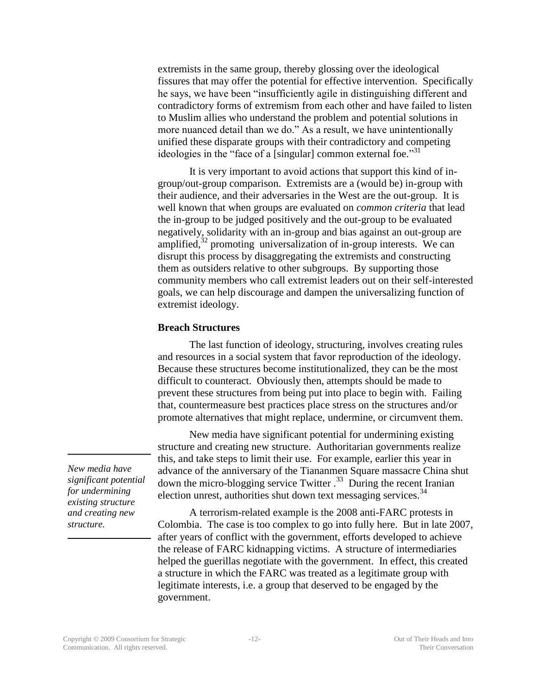extremists in the same group, thereby glossing over the ideological fissures that may offer the potential for effective intervention. Specifically he says, we have been "insufficiently agile in distinguishing different and contradictory forms of extremism from each other and have failed to listen to Muslim allies who understand the problem and potential solutions in more nuanced detail than we do." As a result, we have unintentionally unified these disparate groups with their contradictory and competing ideologies in the "face of a [singular] common external foe."<sup>31</sup>

It is very important to avoid actions that support this kind of ingroup/out-group comparison. Extremists are a (would be) in-group with their audience, and their adversaries in the West are the out-group. It is well known that when groups are evaluated on *common criteria* that lead the in-group to be judged positively and the out-group to be evaluated negatively, solidarity with an in-group and bias against an out-group are amplified,<sup>32</sup> promoting universalization of in-group interests. We can disrupt this process by disaggregating the extremists and constructing them as outsiders relative to other subgroups. By supporting those community members who call extremist leaders out on their self-interested goals, we can help discourage and dampen the universalizing function of extremist ideology.

## **Breach Structures**

The last function of ideology, structuring, involves creating rules and resources in a social system that favor reproduction of the ideology. Because these structures become institutionalized, they can be the most difficult to counteract. Obviously then, attempts should be made to prevent these structures from being put into place to begin with. Failing that, countermeasure best practices place stress on the structures and/or promote alternatives that might replace, undermine, or circumvent them.

New media have significant potential for undermining existing structure and creating new structure. Authoritarian governments realize this, and take steps to limit their use. For example, earlier this year in advance of the anniversary of the Tiananmen Square massacre China shut down the micro-blogging service Twitter  $^{33}$  During the recent Iranian election unrest, authorities shut down text messaging services.<sup>34</sup>

A terrorism-related example is the 2008 anti-FARC protests in Colombia. The case is too complex to go into fully here. But in late 2007, after years of conflict with the government, efforts developed to achieve the release of FARC kidnapping victims. A structure of intermediaries helped the guerillas negotiate with the government. In effect, this created a structure in which the FARC was treated as a legitimate group with legitimate interests, i.e. a group that deserved to be engaged by the government.

*New media have significant potential for undermining existing structure and creating new structure.*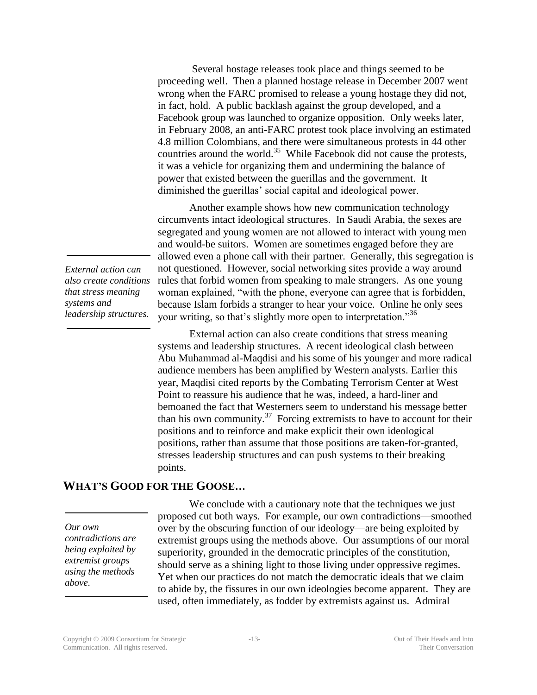Several hostage releases took place and things seemed to be proceeding well. Then a planned hostage release in December 2007 went wrong when the FARC promised to release a young hostage they did not, in fact, hold. A public backlash against the group developed, and a Facebook group was launched to organize opposition. Only weeks later, in February 2008, an anti-FARC protest took place involving an estimated 4.8 million Colombians, and there were simultaneous protests in 44 other countries around the world.<sup>35</sup> While Facebook did not cause the protests, it was a vehicle for organizing them and undermining the balance of power that existed between the guerillas and the government. It diminished the guerillas" social capital and ideological power.

Another example shows how new communication technology circumvents intact ideological structures. In Saudi Arabia, the sexes are segregated and young women are not allowed to interact with young men and would-be suitors. Women are sometimes engaged before they are allowed even a phone call with their partner. Generally, this segregation is not questioned. However, social networking sites provide a way around rules that forbid women from speaking to male strangers. As one young woman explained, "with the phone, everyone can agree that is forbidden, because Islam forbids a stranger to hear your voice. Online he only sees your writing, so that's slightly more open to interpretation."<sup>36</sup>

*External action can also create conditions that stress meaning systems and leadership structures.*

> External action can also create conditions that stress meaning systems and leadership structures. A recent ideological clash between Abu Muhammad al-Maqdisi and his some of his younger and more radical audience members has been amplified by Western analysts. Earlier this year, Maqdisi cited reports by the Combating Terrorism Center at West Point to reassure his audience that he was, indeed, a hard-liner and bemoaned the fact that Westerners seem to understand his message better than his own community.<sup>37</sup> Forcing extremists to have to account for their positions and to reinforce and make explicit their own ideological positions, rather than assume that those positions are taken-for-granted, stresses leadership structures and can push systems to their breaking points.

## **WHAT'S GOOD FOR THE GOOSE…**

*Our own contradictions are being exploited by extremist groups using the methods above.*

We conclude with a cautionary note that the techniques we just proposed cut both ways. For example, our own contradictions—smoothed over by the obscuring function of our ideology—are being exploited by extremist groups using the methods above. Our assumptions of our moral superiority, grounded in the democratic principles of the constitution, should serve as a shining light to those living under oppressive regimes. Yet when our practices do not match the democratic ideals that we claim to abide by, the fissures in our own ideologies become apparent. They are used, often immediately, as fodder by extremists against us. Admiral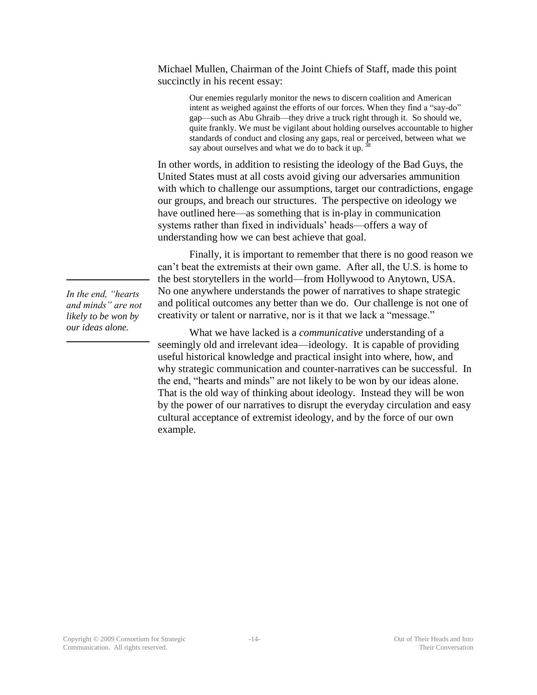Michael Mullen, Chairman of the Joint Chiefs of Staff, made this point succinctly in his recent essay:

> Our enemies regularly monitor the news to discern coalition and American intent as weighed against the efforts of our forces. When they find a "say-do" gap—such as Abu Ghraib—they drive a truck right through it. So should we, quite frankly. We must be vigilant about holding ourselves accountable to higher standards of conduct and closing any gaps, real or perceived, between what we say about ourselves and what we do to back it up.  $\frac{3}{8}$

In other words, in addition to resisting the ideology of the Bad Guys, the United States must at all costs avoid giving our adversaries ammunition with which to challenge our assumptions, target our contradictions, engage our groups, and breach our structures. The perspective on ideology we have outlined here—as something that is in-play in communication systems rather than fixed in individuals" heads—offers a way of understanding how we can best achieve that goal.

Finally, it is important to remember that there is no good reason we can"t beat the extremists at their own game. After all, the U.S. is home to the best storytellers in the world—from Hollywood to Anytown, USA. No one anywhere understands the power of narratives to shape strategic and political outcomes any better than we do. Our challenge is not one of creativity or talent or narrative, nor is it that we lack a "message."

What we have lacked is a *communicative* understanding of a seemingly old and irrelevant idea—ideology. It is capable of providing useful historical knowledge and practical insight into where, how, and why strategic communication and counter-narratives can be successful. In the end, "hearts and minds" are not likely to be won by our ideas alone. That is the old way of thinking about ideology. Instead they will be won by the power of our narratives to disrupt the everyday circulation and easy cultural acceptance of extremist ideology, and by the force of our own example.

*In the end, "hearts and minds" are not likely to be won by our ideas alone.*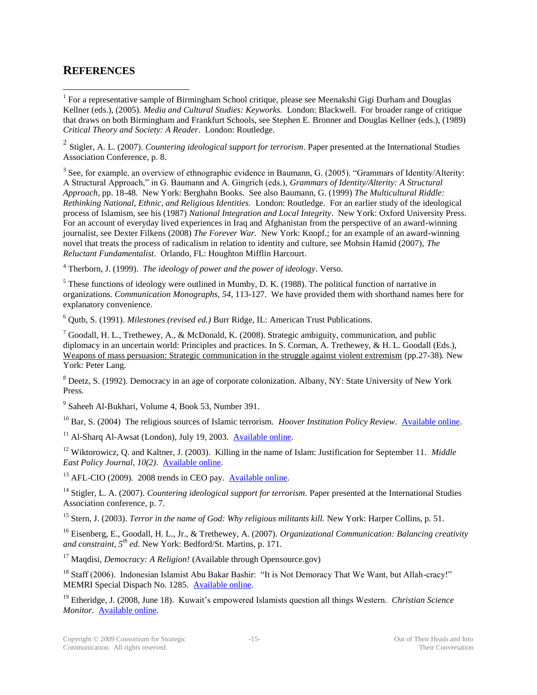## **REFERENCES**

2 Stigler, A. L. (2007). *Countering ideological support for terrorism*. Paper presented at the International Studies Association Conference, p. 8.

 $3$  See, for example, an overview of ethnographic evidence in Baumann, G. (2005). "Grammars of Identity/Alterity: A Structural Approach," in G. Baumann and A. Gingrich (eds.), *Grammars of Identity/Alterity: A Structural Approach*, pp. 18-48*.* New York: Berghahn Books. See also Baumann, G. (1999) *The Multicultural Riddle: Rethinking National, Ethnic, and Religious Identities.* London: Routledge. For an earlier study of the ideological process of Islamism, see his (1987) *National Integration and Local Integrity*. New York: Oxford University Press. For an account of everyday lived experiences in Iraq and Afghanistan from the perspective of an award-winning journalist, see Dexter Filkens (2008) *The Forever War.* New York: Knopf.; for an example of an award-winning novel that treats the process of radicalism in relation to identity and culture, see Mohsin Hamid (2007), *The Reluctant Fundamentalist*. Orlando, FL: Houghton Mifflin Harcourt.

<sup>4</sup> Therborn, J. (1999). *The ideology of power and the power of ideology*. Verso.

<sup>5</sup> These functions of ideology were outlined in Mumby, D. K. (1988). The political function of narrative in organizations. *Communication Monographs, 54*, 113-127. We have provided them with shorthand names here for explanatory convenience.

<sup>6</sup> Qutb, S. (1991). *Milestones (revised ed.)* Burr Ridge, IL: American Trust Publications.

 $7$  Goodall, H. L., Trethewey, A., & McDonald, K. (2008). Strategic ambiguity, communication, and public diplomacy in an uncertain world: Principles and practices. In S. Corman, A. Trethewey, & H. L. Goodall (Eds.), Weapons of mass persuasion: Strategic communication in the struggle against violent extremism (pp.27-38)*.* New York: Peter Lang.

<sup>8</sup> Deetz, S. (1992). Democracy in an age of corporate colonization. Albany, NY: State University of New York Press.

9 Saheeh Al-Bukhari, Volume 4, Book 53, Number 391.

<sup>10</sup> Bar, S. (2004) The religious sources of Islamic terrorism. *Hoover Institution Policy Review*. Available online.

 $11$  Al-Sharq Al-Awsat (London), July 19, 2003. Available online.

<sup>12</sup> Wiktorowicz, Q. and Kaltner, J. (2003). Killing in the name of Islam: Justification for September 11. *Middle East Policy Journal, 10(2)*. Available online.

<sup>13</sup> AFL-CIO (2009). 2008 trends in CEO pay. Available online.

<sup>14</sup> Stigler, L. A. (2007). *Countering ideological support for terrorism*. Paper presented at the International Studies Association conference, p. 7.

<sup>15</sup> Stern, J. (2003). *Terror in the name of God: Why religious militants kill.* New York: Harper Collins, p. 51.

<sup>16</sup> Eisenberg, E., Goodall, H. L., Jr., & Trethewey, A. (2007). *Organizational Communication: Balancing creativity and constraint, 5th ed.* New York: Bedford/St. Martins, p. 171.

<sup>17</sup> Maqdisi, *Democracy: A Religion!* (Available through Opensource.gov)

<sup>18</sup> Staff (2006). Indonesian Islamist Abu Bakar Bashir: "It is Not Demoracy That We Want, but Allah-cracy!" MEMRI Special Dispach No. 1285. Available online.

<sup>19</sup> Etheridge, J. (2008, June 18). Kuwait's empowered Islamists question all things Western. *Christian Science Monitor*. Available online.

<sup>1&</sup>lt;br><sup>1</sup> For a representative sample of Birmingham School critique, please see Meenakshi Gigi Durham and Douglas Kellner (eds.), (2005). *Media and Cultural Studies: Keyworks.* London: Blackwell. For broader range of critique that draws on both Birmingham and Frankfurt Schools, see Stephen E. Bronner and Douglas Kellner (eds.), (1989) *Critical Theory and Society: A Reader*. London: Routledge.